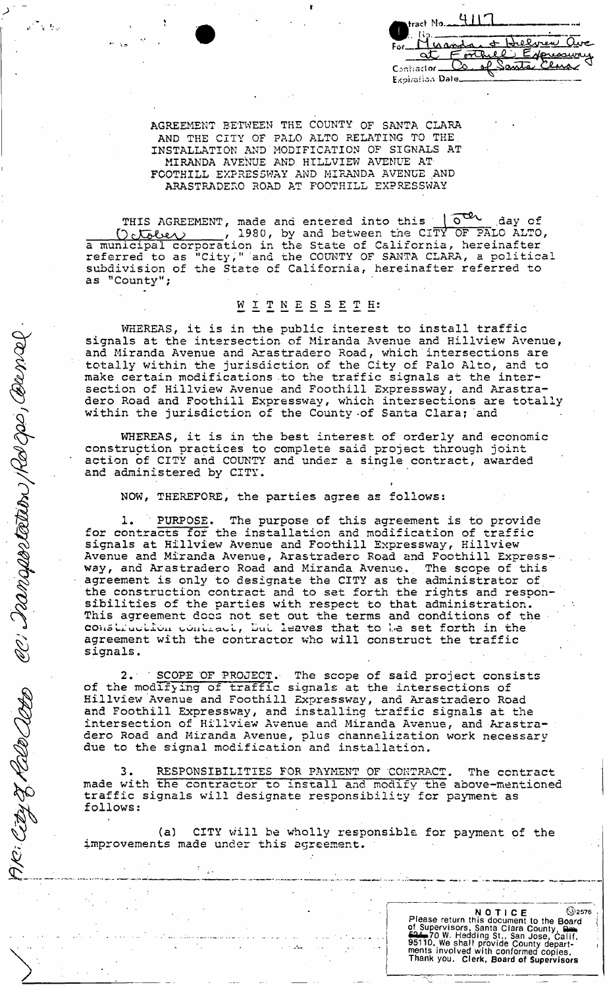AGREEMENT BETWEEN THE COUNTY OF SANTA CLARA AND THE CITY OF PALO ALTO RELATING TO THE. INSTALLATION AND'MODIFICATION OF SIGNALS AT MIRANDA AVENUE AND HILLVIEW AVENUE AT FOOTHILL EXPRESSWAY AND MIRANDA AVENUE AND ARASTRADERO ROAD AT FOOTHILL EXPRESSWAY

 $H$   $H$   $H$   $H$   $H$ 

λΣ

فقفا

 $\alpha t$ 

Confractor. Expiration Date <u>Hielven</u>

othill Expressive

THIS AGREEMENT, made and entered into this  $\sqrt{\sigma^2}$  day of  $O_0$  . Lay  $\sigma$  . The  $O_0$  . Allo allow , 1980, by and between the CITY OF PALO ALTO, a municipal corporation in the State of California, hereinafter referred to as "City," and the COUNTY OF SANTA CLARA, a political subdivision of the State of California, hereinafter referred to as "County";

# WITNESSETH:

WHEREAS, it is in the public interest to install traffic signals at the intersection of Miranda Avenue and Hillview Avenue, and Miranda Avenue and Arastradero Road, which intersections are totally within the jurisdiction of the City of Palo Alto, and to make certain modifications to the traffic signals at the intersection of Hillview Avenue and Foothill Expressway, and Arastradero Road and Foothill Expressway, which intersections are totally within the jurisdiction of the County -of Santa Clara; and

WHEREAS, it is in the best interest of orderly and economic construction practices to complete said project through joint action of CITY and COUNTY and under a single contract, awarded and administered by CITY.

NOW, THEREFORE, the parties agree as follows:

en Jangartetion Robos Grense

AR: City of ReloClette

1. PURPOSE. The purpose of this agreement is to provide for contracts for the installation and modification of traffic signals at Hillview Avenue and Foothill Expressway, Hillview Avenue and Miranda Avenue, Arastradero Road and Foothill Expressway, and Arastradero Road and Miranda Avenue. The scope of this agreement is only to designate the CITY as the administrator of agreement is only to designate the Citi as the administrator of<br>the construction contract and to set forth the rights and responthe construction contract and to set forth the rights and respo<br>sibilities of the parties with respect to that administration. This agreement docs not set out the terms and conditions of the coustraction contract, but leaves that to be set forth in the agreement with the contractor who will construct the traffic signals.

2. ' SCOPE OF PROJECT.' The scope of said project consists of the modifying of traffic signals at the intersections of Hillview Avenue and Foothill Expressway, and Arastradero Road and Foothill Expressway, and installing traffic signals at the intersection of Hillview Avenue and Miranda Avenue, and Arastradero Road and Miranda Avenue, plus channelization work necessary due to the signal modification and installation.

<sup>3</sup> . RESPONSIBILITIES FOR PAYMENT OF CONTRACT. The contract made with the contractor to install and modify the above-mentioned made with the contractor to install and modify the above-ment.<br>traffic signals will designate responsibility for payment as follows:

(a) CITY will be wholly responsible for payment of the improvements made under this agreement.

**NOTICE**  $\bigotimes_{2576}$  **Please return this document to the Board**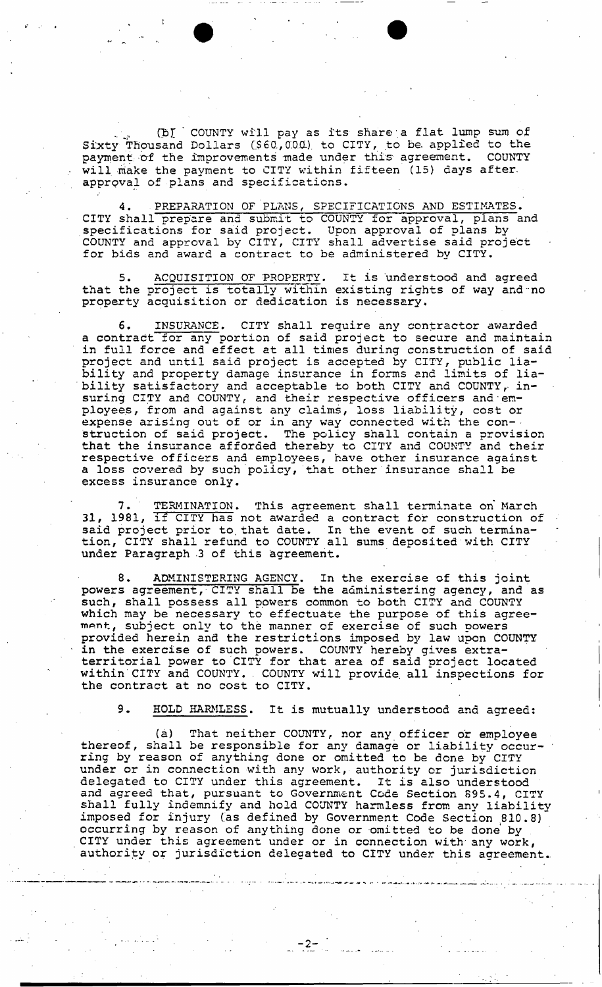(b) COUNTY will pay as its share a flat lump sum of Sixty Thousand Dollars (\$60,000) to CITY, to be applied to the payment of the improvements made under this agreement. COUNTY will make the payment to CITY within fifteen (15) days after. approval of plans and specifications.

PREPARATION OF PLANS, SPECIFICATIONS AND ESTIMATES. CITY shall prepare and submit to COUNTY for approval, plans and specifications for said project. Upon approval of plans by COUNTY and approval by CITY, CITY shall advertise said project for bids and award a contract to be administered by CITY.

5. ACQUISITION OF PROPERTY. It is understood and agreed that the project is totally within existing rights of way and no property acquisition or dedication is necessary.

INSURANCE. CITY shall require any contractor awarded 6. a contract for any portion of said project to secure and maintain in full force and effect at all times during construction of said project and until said project is accepted by CITY, public liability and property damage insurance in forms and limits of liability satisfactory and acceptable to both CITY and COUNTY, insuring CITY and COUNTY, and their respective officers and employees, from and against any claims, loss liability, cost or expense arising out of or in any way connected with the construction of said project. The policy shall contain a provision that the insurance afforded thereby to CITY and COUNTY and their respective officers and employees, have other insurance against a loss covered by such policy, that other insurance shall be excess insurance only.

7. TERMINATION. This agreement shall terminate on March 31, 1981, if CITY has not awarded a contract for construction of said project prior to that date. In the event of such termination, CITY shall refund to COUNTY all sums deposited with CITY under Paragraph 3 of this agreement.

ADMINISTERING AGENCY. In the exercise of this joint powers agreement, CITY shall be the administering agency, and as such, shall possess all powers common to both CITY and COUNTY which may be necessary to effectuate the purpose of this agreement, subject only to the manner of exercise of such powers provided herein and the restrictions imposed by law upon COUNTY in the exercise of such powers. COUNTY hereby gives extraterritorial power to CITY for that area of said project located within CITY and COUNTY. . COUNTY will provide, all inspections for the contract at no cost to CITY.

9. HOLD HARMLESS. It is mutually understood and agreed:

(a) That neither COUNTY, nor any officer or employee thereof, shall be responsible for any damage or liability occurring by reason of anything done or omitted to be done by CITY under or in connection with any work, authority or jurisdiction delegated to CITY under this agreement. It is also understood and agreed that, pursuant to Government Code Section 895.4, CITY shall fully indemnify and hold COUNTY harmless from any liability imposed for injury (as defined by Government Code Section 810.8) occurring by reason of anything done or omitted to be done by CITY under this agreement under or in connection with any work, authority or jurisdiction delegated to CITY under this agreement..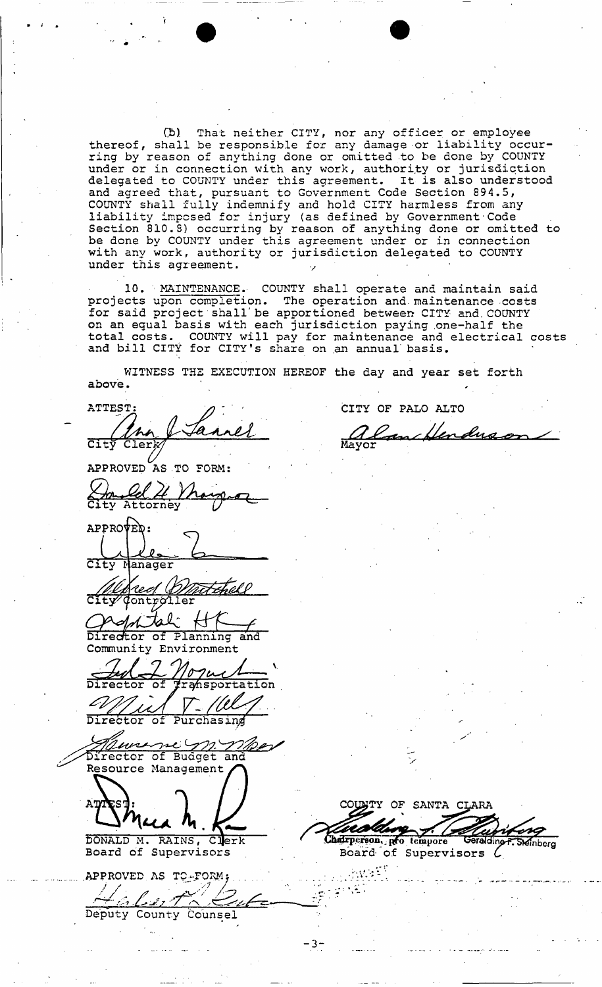fb). That neither CITY, nor any officer or employee thereof, shall be responsible for any damage or liability occurring by reason of anything done or omitted to be done by COUNTY under or in connection with any work, authority or jurisdiction delegated to COUNTY under this agreement. It is also understood and agreed that, pursuant to Government Code Section 894.5, COUNTY shall fully indemnify and hold CITY harmless from any liability imposed for injury (as defined by Government•Code Section 810.S) occurring by reason of anything done or omitted to be done by COUNTY under this agreement under or in connection with any work, authority or jurisdiction delegated to COUNTY under this agreement.

10. MAINTENANCE.• COUNTY shall operate and maintain said projects upon completion. The operation and maintenance costs for said project'shall'be apportioned between CITY and. COUNTY on an equal basis with each jurisdiction paying one-half the total costs. COUNTY will pay for maintenance and electrical costs and bill CITY for CITY's share on an annual basis.

CITY OF PALO ALTO

mcHendus

Mayor

WITNESS THE EXECUTION HEREOF the day and year set forth above. .

**ATTEST** City Clerk/

 $U$ <br>APPROVED AS TO FORM:

Attorney

APPROVE anager

City Controller

К Director of Planning and Community Environment

Director of Transportation *vi/at?...* 

Director of Purchasing

<u>Maure we Wir W</u><br>Director of Budget and Resource Management ^

*MJL*  DONALD M. RAINS, CjJerk

Board of Supervisors

.APPROVED.AS TQ-FOKMj *\* /?* A •A-

Deputy Count*7* y Counsel

DYTY OF SANTA CLARA

Chairperson, pro tempore Geralding 7. SMinberg Board of Supervisors

-3-

wa¥)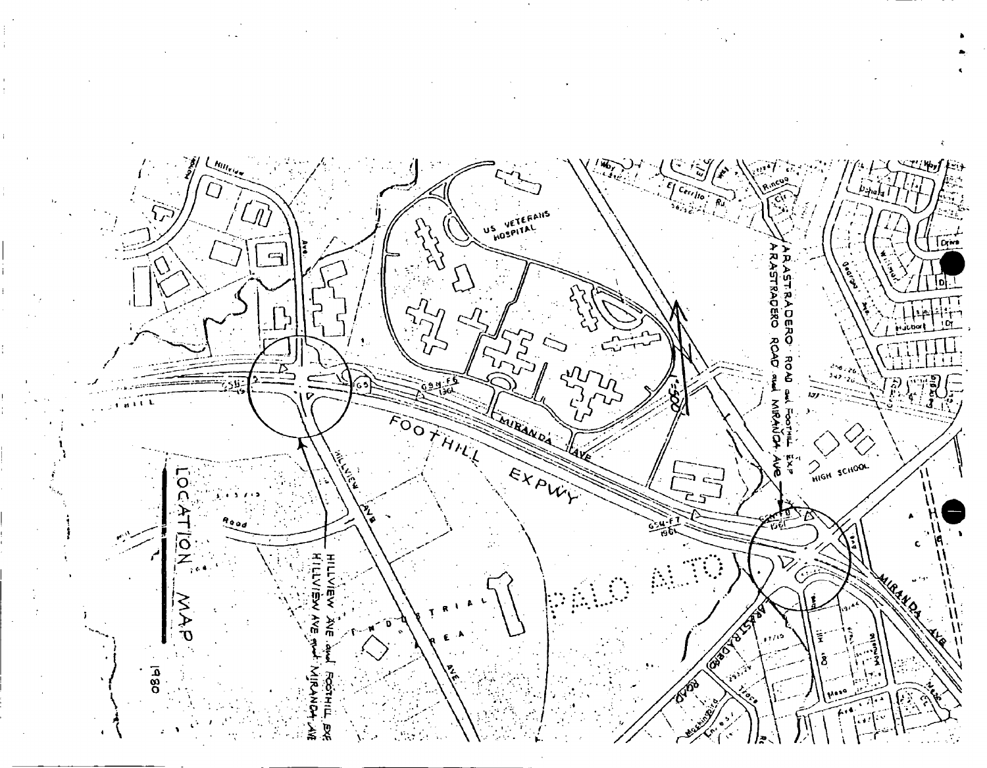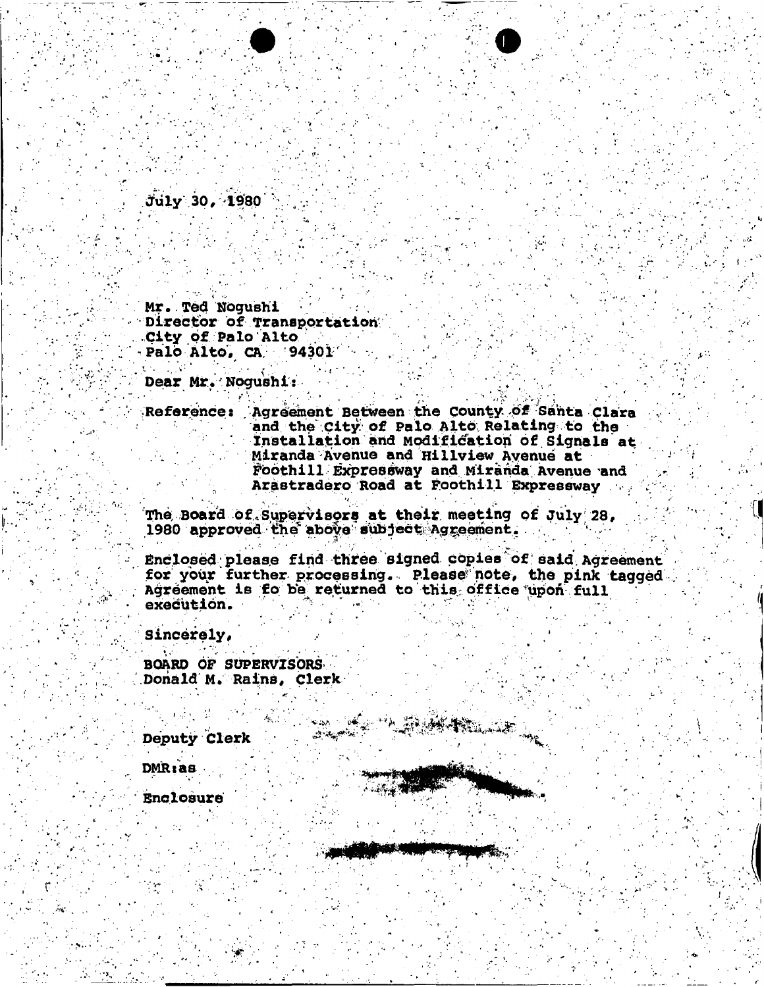**July 30, -1980** 

**Mr..Ted Nogushi Director of Transportation' City of Palo Alto Palo Alto, CA. 94301** 

**Dear Mr.'Nogushi: . \ ^ / ^** 

Reference: Agreement Between the County of Santa Clara **and the City of Palo Alto Relating to the Installation and Modification of.Signals at Miranda Avenue and Hillview Avenue at Foothill expressway and Miranda Avenue and Ar&stradero Road at Foothill Expressway** 

, *f* 

Ņ

-

**The, BoarS of . Supervisors at their meeting of July ; 28 ,**  1980 approved the above subject Agreement.

Enclosed please find three signed copies of said Agreement for your further processing. Please note, the pink tagged Agreement is fo be returned to this office upon full  $e$ xecution.  **- •• - '-V . >/.".** 

**Sincerely, -**

**BOARD OF SUPERVISORS Donald M . Rains, Clerk ^ '** 

ينغان الار

**Deputy Clerk** 

DMRias

**Enclosure**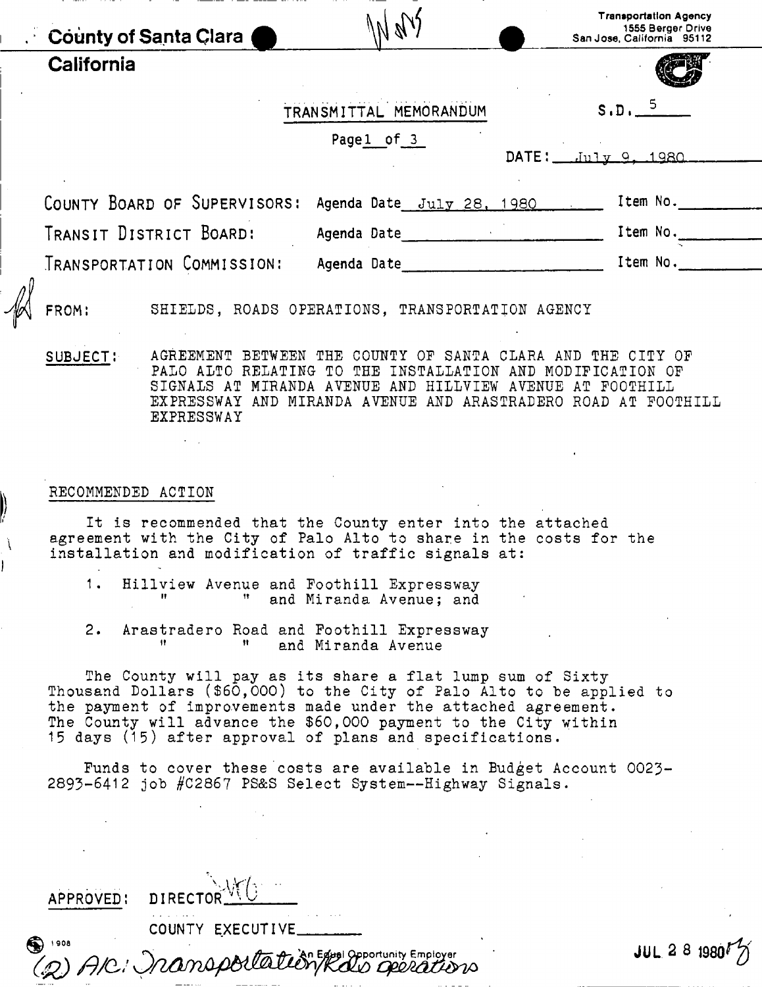|  | County of Santa Clara                                                                                                                                                                                                                                                                                                                           |                        | <b>Transportation Agency</b><br>1555 Berger Drive<br>San Jose, California 95112 |  |  |
|--|-------------------------------------------------------------------------------------------------------------------------------------------------------------------------------------------------------------------------------------------------------------------------------------------------------------------------------------------------|------------------------|---------------------------------------------------------------------------------|--|--|
|  | <b>California</b>                                                                                                                                                                                                                                                                                                                               |                        |                                                                                 |  |  |
|  |                                                                                                                                                                                                                                                                                                                                                 | TRANSMITTAL MEMORANDUM | $S.D.$ <sup>5</sup>                                                             |  |  |
|  |                                                                                                                                                                                                                                                                                                                                                 | Page1 of 3             | $DATE:$ $Ju1v9.1980$                                                            |  |  |
|  | COUNTY BOARD OF SUPERVISORS: Agenda Date July 28, 1980                                                                                                                                                                                                                                                                                          |                        | Item No.                                                                        |  |  |
|  | TRANSIT DISTRICT BOARD:                                                                                                                                                                                                                                                                                                                         | Agenda Date            | Item No.                                                                        |  |  |
|  | TRANSPORTATION COMMISSION: Agenda Date                                                                                                                                                                                                                                                                                                          |                        | Item No.                                                                        |  |  |
|  | SHIELDS, ROADS OPERATIONS, TRANSPORTATION AGENCY<br>FROM:<br>AGREEMENT BETWEEN THE COUNTY OF SANTA CLARA AND THE CITY OF<br>SUBJECT:<br>PALO ALTO RELATING TO THE INSTALLATION AND MODIFICATION OF<br>SIGNALS AT MIRANDA AVENUE AND HILLVIEW AVENUE AT FOOTHILL<br>EXPRESSWAY AND MIRANDA AVENUE AND ARASTRADERO ROAD AT FOOTHILL<br>EXPRESSWAY |                        |                                                                                 |  |  |
|  | RECOMMENDED ACTION<br>It is recommended that the County enter into the attached<br>agreement with the City of Palo Alto to share in the costs for the<br>installation and modification of traffic signals at:<br>1.<br>Hillview Avenue and Foothill Expressway<br>Ħ<br>and Miranda Avenue; and                                                  |                        |                                                                                 |  |  |
|  |                                                                                                                                                                                                                                                                                                                                                 |                        |                                                                                 |  |  |
|  |                                                                                                                                                                                                                                                                                                                                                 |                        |                                                                                 |  |  |
|  | 2.<br>Arastradero Road and Foothill Expressway<br>Ħ                                                                                                                                                                                                                                                                                             | and Miranda Avenue     |                                                                                 |  |  |

The County will pay as its share a flat lump sum of Sixty Thousand Dollars (\$60,000) to the City of Palo Alto to be applied to the payment of improvements made under the attached agreement. The County will advance the \$60,000 payment to the City within 15 days (15) after approval of plans and specifications.

Funds to cover these costs are available in Budget Account 0023-2893-6412 job #C2867 PS&S Select System--Highway Signals.

|                 | APPROVED: DIRECTOR $W()$                         |                |
|-----------------|--------------------------------------------------|----------------|
|                 | COUNTY EXECUTIVE                                 |                |
| $\bigcirc$ 1908 | (2) A/C: Inansportation/Rav Opportunity Employer | $JUL$ 2 8 1980 |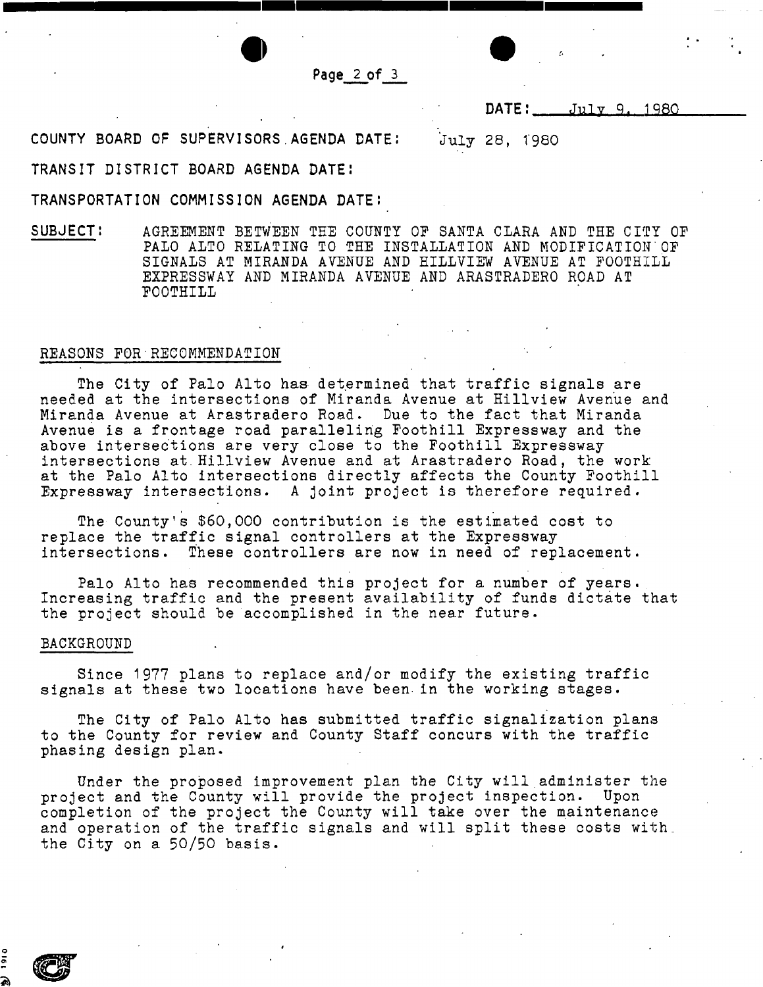

**DATE:** July 9, 1980

**COUNTY BOARD OF SUPERVISORS .AGENDA DATE;** 'July 28, 1980

## **TRANSIT DISTRICT BOARD AGENDA DATE:**

#### **TRANSPORTATION COMMISSION AGENDA DATE J**

SUBJECT: AGREEMENT BETWEEN THE COUNTY OF SANTA CLARA AND THE CITY OF PALO ALTO RELATING TO THE INSTALLATION AND MODIFICATION"OF SIGNALS AT MIRANDA AVENUE AND HILLVIEW AVENUE AT FOOTHILL EXPRESSWAY AND MIRANDA AVENUE AND ARASTRADERO ROAD AT FOOTHILL

#### REASONS FOR RECOMMENDATION

The City of Palo Alto has determined that traffic signals are needed at the intersections of Miranda Avenue at Hillview Avenue and Miranda Avenue at Arastradero Road. Due to the fact that Miranda Avenue is a frontage road paralleling Foothill Expressway and the above intersections are very close to the Foothill Expressway intersections at. Hillview Avenue and at Arastradero Road, the work at the Palo Alto intersections directly affects the County Foothill Expressway intersections. A joint project is therefore required.

The County's \$60,000 contribution is the estimated cost to replace the traffic signal controllers at the Expressway intersections. These controllers are now in need of replacement.

Palo Alto has recommended this project for a number of years. Increasing traffic and the present availability of funds dictate that the project should be accomplished in the near future.

#### BACKGROUND

Since 1977 plans to replace and/or modify the existing traffic signals at these two locations have been in the working stages.

The City of Palo Alto has submitted traffic signalization plans to the County for review and County Staff concurs with the traffic phasing design plan.

Under the proposed improvement plan the City will. administer the project and the County will provide the project inspection. Upon completion of the project the County will take over the maintenance and operation of the traffic signals and will split these costs with, the City on a 50/50 basis.